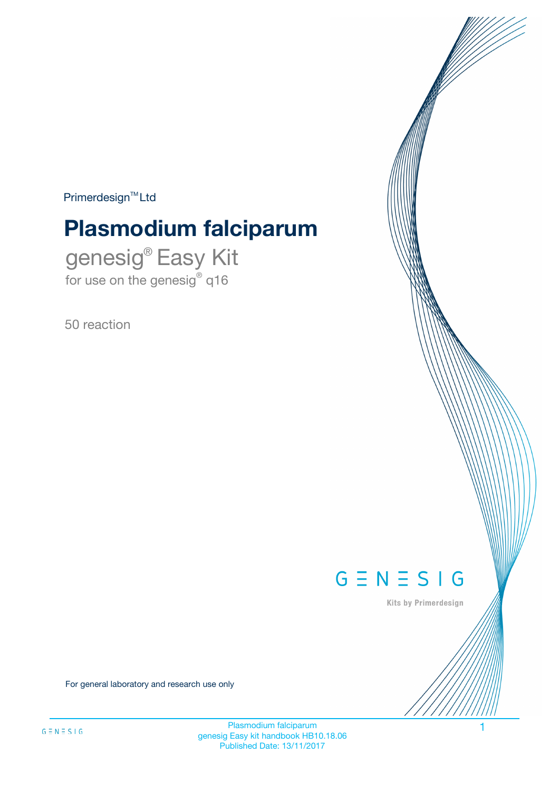$Primerdesign^{\text{TM}}Ltd$ 

# **Plasmodium falciparum**

genesig® Easy Kit for use on the genesig® q16

50 reaction



Kits by Primerdesign

For general laboratory and research use only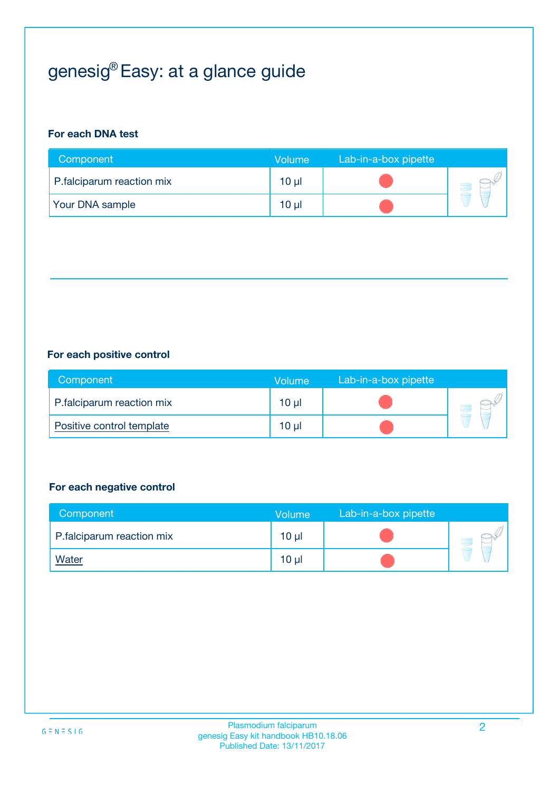# genesig® Easy: at a glance guide

## **For each DNA test**

| Component                 | <b>Volume</b> | Lab-in-a-box pipette |  |
|---------------------------|---------------|----------------------|--|
| P.falciparum reaction mix | 10 µl         |                      |  |
| <b>Your DNA sample</b>    | 10 µl         |                      |  |

## **For each positive control**

| Component                 | Volume   | Lab-in-a-box pipette |  |
|---------------------------|----------|----------------------|--|
| P.falciparum reaction mix | $10 \mu$ |                      |  |
| Positive control template | $10 \mu$ |                      |  |

### **For each negative control**

| Component                 | <b>Volume</b>   | Lab-in-a-box pipette |  |
|---------------------------|-----------------|----------------------|--|
| P.falciparum reaction mix | 10 <sub>µ</sub> |                      |  |
| <u>Water</u>              | 10 <sub>µ</sub> |                      |  |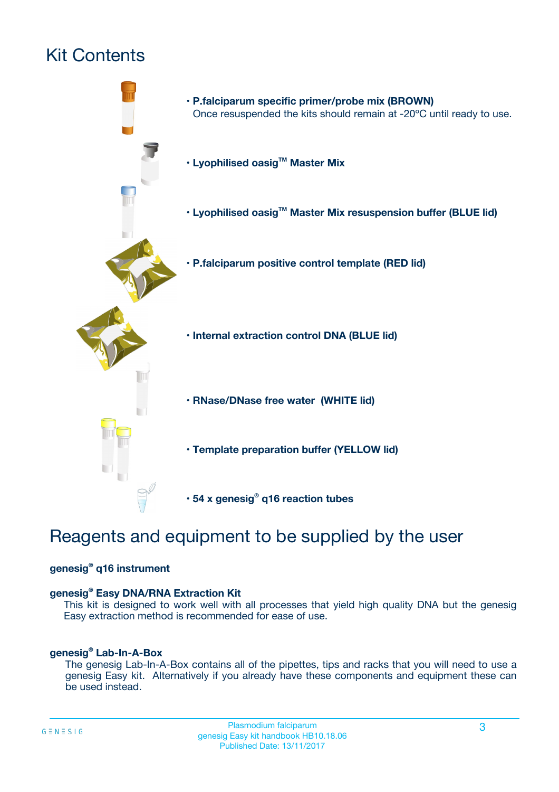## Kit Contents



## Reagents and equipment to be supplied by the user

## **genesig® q16 instrument**

### **genesig® Easy DNA/RNA Extraction Kit**

This kit is designed to work well with all processes that yield high quality DNA but the genesig Easy extraction method is recommended for ease of use.

### **genesig® Lab-In-A-Box**

The genesig Lab-In-A-Box contains all of the pipettes, tips and racks that you will need to use a genesig Easy kit. Alternatively if you already have these components and equipment these can be used instead.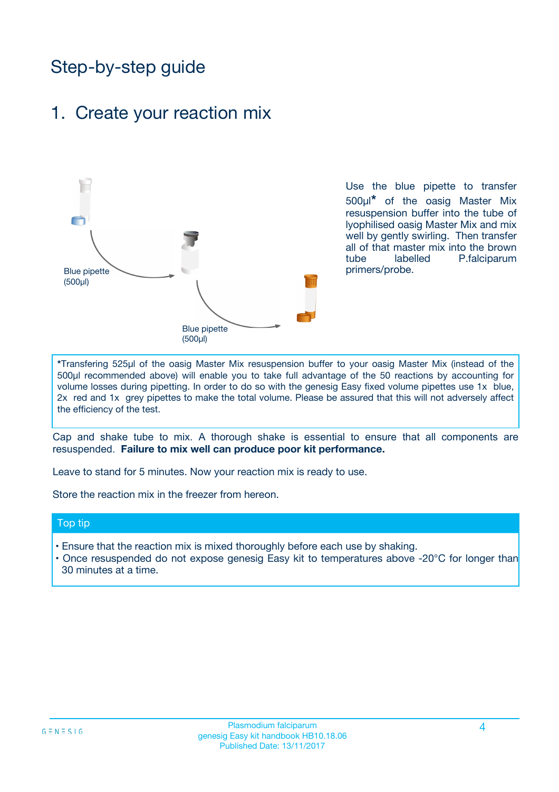## Step-by-step guide

## 1. Create your reaction mix



Use the blue pipette to transfer 500µl**\*** of the oasig Master Mix resuspension buffer into the tube of lyophilised oasig Master Mix and mix well by gently swirling. Then transfer all of that master mix into the brown tube labelled P.falciparum primers/probe.

**\***Transfering 525µl of the oasig Master Mix resuspension buffer to your oasig Master Mix (instead of the 500µl recommended above) will enable you to take full advantage of the 50 reactions by accounting for volume losses during pipetting. In order to do so with the genesig Easy fixed volume pipettes use 1x blue, 2x red and 1x grey pipettes to make the total volume. Please be assured that this will not adversely affect the efficiency of the test.

Cap and shake tube to mix. A thorough shake is essential to ensure that all components are resuspended. **Failure to mix well can produce poor kit performance.**

Leave to stand for 5 minutes. Now your reaction mix is ready to use.

Store the reaction mix in the freezer from hereon.

### Top tip

- Ensure that the reaction mix is mixed thoroughly before each use by shaking.
- Once resuspended do not expose genesig Easy kit to temperatures above -20°C for longer than 30 minutes at a time.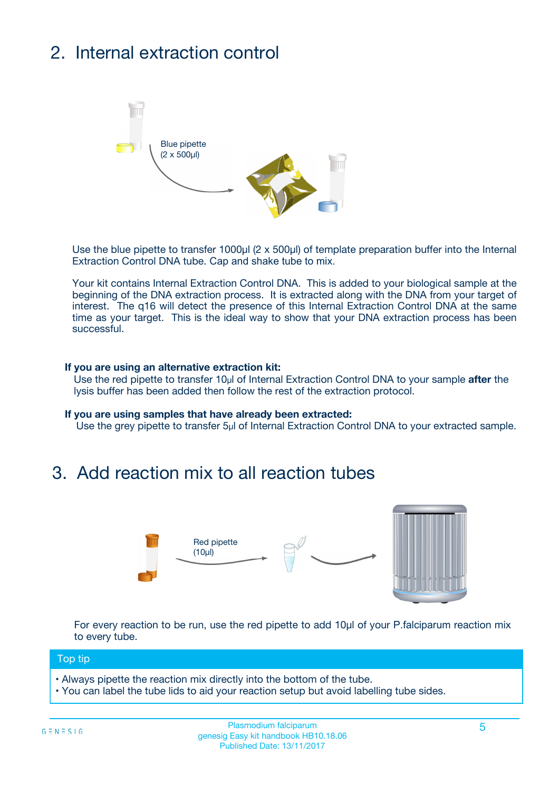# 2. Internal extraction control



Use the blue pipette to transfer 1000µl (2 x 500µl) of template preparation buffer into the Internal Extraction Control DNA tube. Cap and shake tube to mix.

Your kit contains Internal Extraction Control DNA. This is added to your biological sample at the beginning of the DNA extraction process. It is extracted along with the DNA from your target of interest. The q16 will detect the presence of this Internal Extraction Control DNA at the same time as your target. This is the ideal way to show that your DNA extraction process has been successful.

### **If you are using an alternative extraction kit:**

Use the red pipette to transfer 10µl of Internal Extraction Control DNA to your sample **after** the lysis buffer has been added then follow the rest of the extraction protocol.

#### **If you are using samples that have already been extracted:**

Use the grey pipette to transfer 5µl of Internal Extraction Control DNA to your extracted sample.

## 3. Add reaction mix to all reaction tubes



For every reaction to be run, use the red pipette to add 10µl of your P.falciparum reaction mix to every tube.

### Top tip

- Always pipette the reaction mix directly into the bottom of the tube.
- You can label the tube lids to aid your reaction setup but avoid labelling tube sides.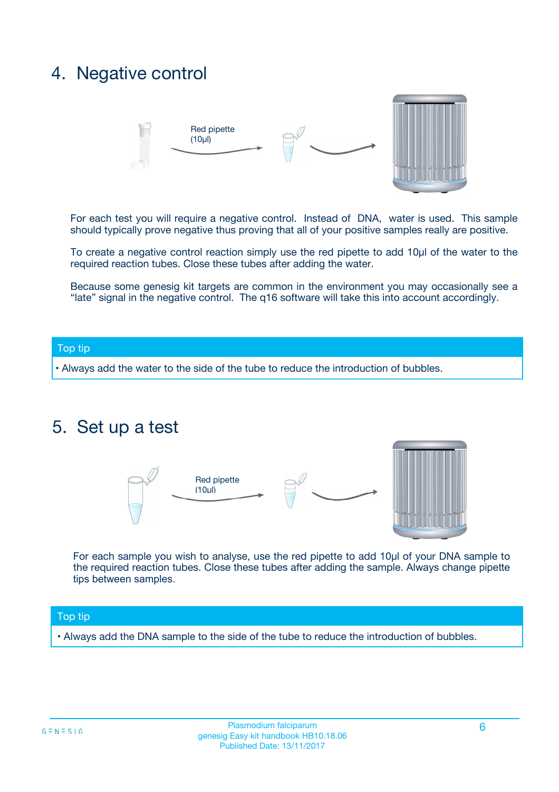## 4. Negative control



For each test you will require a negative control. Instead of DNA, water is used. This sample should typically prove negative thus proving that all of your positive samples really are positive.

To create a negative control reaction simply use the red pipette to add 10µl of the water to the required reaction tubes. Close these tubes after adding the water.

Because some genesig kit targets are common in the environment you may occasionally see a "late" signal in the negative control. The q16 software will take this into account accordingly.

### Top tip

**•** Always add the water to the side of the tube to reduce the introduction of bubbles.

## 5. Set up a test



For each sample you wish to analyse, use the red pipette to add 10µl of your DNA sample to the required reaction tubes. Close these tubes after adding the sample. Always change pipette tips between samples.

### Top tip

**•** Always add the DNA sample to the side of the tube to reduce the introduction of bubbles.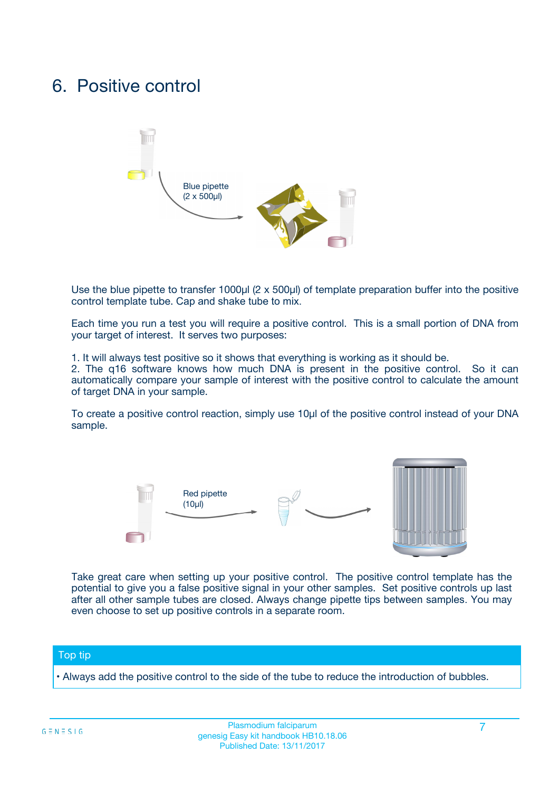## 6. Positive control



Use the blue pipette to transfer 1000µl (2 x 500µl) of template preparation buffer into the positive control template tube. Cap and shake tube to mix.

Each time you run a test you will require a positive control. This is a small portion of DNA from your target of interest. It serves two purposes:

1. It will always test positive so it shows that everything is working as it should be.

2. The q16 software knows how much DNA is present in the positive control. So it can automatically compare your sample of interest with the positive control to calculate the amount of target DNA in your sample.

To create a positive control reaction, simply use 10µl of the positive control instead of your DNA sample.



Take great care when setting up your positive control. The positive control template has the potential to give you a false positive signal in your other samples. Set positive controls up last after all other sample tubes are closed. Always change pipette tips between samples. You may even choose to set up positive controls in a separate room.

### Top tip

**•** Always add the positive control to the side of the tube to reduce the introduction of bubbles.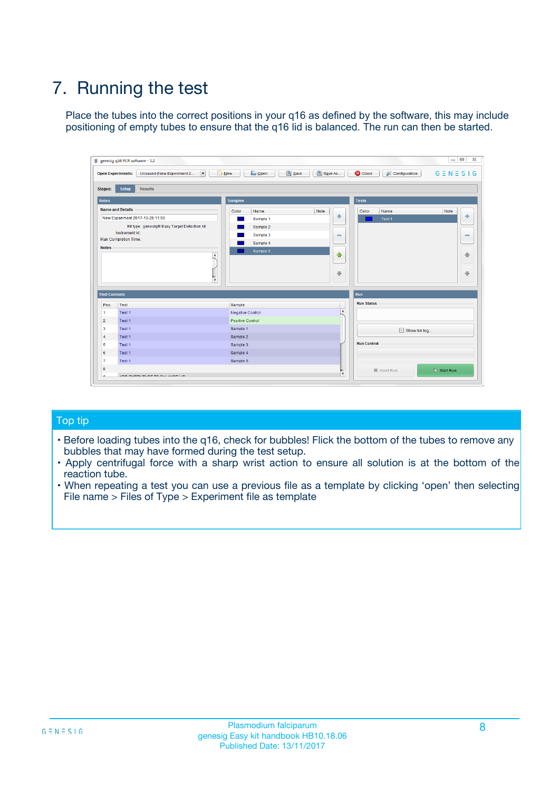# 7. Running the test

Place the tubes into the correct positions in your q16 as defined by the software, this may include positioning of empty tubes to ensure that the q16 lid is balanced. The run can then be started.

| genesig q16 PCR software - 1.2                                                    |                                                         | $\Box$ $\Box$                                                                               | $\Sigma\!3$                  |
|-----------------------------------------------------------------------------------|---------------------------------------------------------|---------------------------------------------------------------------------------------------|------------------------------|
| $\overline{\phantom{a}}$<br>Unsaved (New Experiment 2<br><b>Open Experiments:</b> | <b>B</b> Open<br>$\frac{1}{2}$ New                      | Save<br>Save As<br>$G \equiv N \equiv S \mid G$<br><b>C</b> Close<br><b>X</b> Configuration |                              |
| Setup<br><b>Results</b><br><b>Stages:</b>                                         |                                                         |                                                                                             |                              |
| <b>Notes</b>                                                                      | <b>Samples</b>                                          | <b>Tests</b>                                                                                |                              |
| <b>Name and Details</b>                                                           | Color<br>Name                                           | Note<br>Color<br>Name<br>Note                                                               |                              |
| New Experiment 2017-10-26 11:06                                                   | Sample 1                                                | $\oplus$<br>Test 1                                                                          | $\ddot{\Phi}$                |
| Kit type: genesig® Easy Target Detection kit                                      | Sample 2                                                |                                                                                             |                              |
| Instrument Id.:                                                                   | Sample 3                                                | $\qquad \qquad \blacksquare$                                                                | $\qquad \qquad \blacksquare$ |
| <b>Run Completion Time:</b><br><b>Notes</b>                                       | Sample 4                                                |                                                                                             |                              |
|                                                                                   | Sample 5<br>$\blacktriangle$<br>$\overline{\mathbf{v}}$ | $\triangle$<br>$\overline{\phantom{a}}$                                                     | ♠<br>⊕                       |
| <b>Well Contents</b>                                                              |                                                         | Run                                                                                         |                              |
| Pos.<br>Test                                                                      | Sample                                                  | <b>Run Status</b>                                                                           |                              |
| Test 1<br>$\mathbf{1}$                                                            | <b>Negative Control</b>                                 | $\overline{\phantom{a}}$                                                                    |                              |
| $\overline{2}$<br>Test 1                                                          | Positive Control                                        |                                                                                             |                              |
| $\overline{\mathbf{3}}$<br>Test 1                                                 | Sample 1                                                | Show full log                                                                               |                              |
| Test 1<br>$\overline{4}$                                                          | Sample 2                                                |                                                                                             |                              |
| 5<br>Test 1                                                                       | Sample 3                                                | <b>Run Control</b>                                                                          |                              |
| Test 1<br>6                                                                       | Sample 4                                                |                                                                                             |                              |
| Test 1<br>7                                                                       | Sample 5                                                |                                                                                             |                              |
| 8                                                                                 |                                                         | $\triangleright$ Start Run<br>Abort Run<br>v                                                |                              |
|                                                                                   |                                                         |                                                                                             |                              |

## Top tip

- Before loading tubes into the q16, check for bubbles! Flick the bottom of the tubes to remove any bubbles that may have formed during the test setup.
- Apply centrifugal force with a sharp wrist action to ensure all solution is at the bottom of the reaction tube.
- When repeating a test you can use a previous file as a template by clicking 'open' then selecting File name > Files of Type > Experiment file as template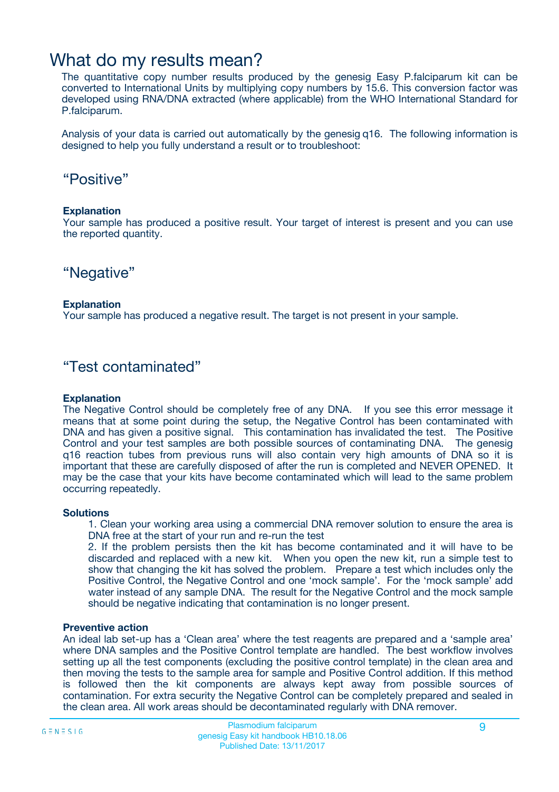## What do my results mean?

The quantitative copy number results produced by the genesig Easy P.falciparum kit can be converted to International Units by multiplying copy numbers by 15.6. This conversion factor was developed using RNA/DNA extracted (where applicable) from the WHO International Standard for P.falciparum.

Analysis of your data is carried out automatically by the genesig q16. The following information is designed to help you fully understand a result or to troubleshoot:

## "Positive"

### **Explanation**

Your sample has produced a positive result. Your target of interest is present and you can use the reported quantity.

## "Negative"

### **Explanation**

Your sample has produced a negative result. The target is not present in your sample.

## "Test contaminated"

### **Explanation**

The Negative Control should be completely free of any DNA. If you see this error message it means that at some point during the setup, the Negative Control has been contaminated with DNA and has given a positive signal. This contamination has invalidated the test. The Positive Control and your test samples are both possible sources of contaminating DNA. The genesig q16 reaction tubes from previous runs will also contain very high amounts of DNA so it is important that these are carefully disposed of after the run is completed and NEVER OPENED. It may be the case that your kits have become contaminated which will lead to the same problem occurring repeatedly.

### **Solutions**

1. Clean your working area using a commercial DNA remover solution to ensure the area is DNA free at the start of your run and re-run the test

2. If the problem persists then the kit has become contaminated and it will have to be discarded and replaced with a new kit. When you open the new kit, run a simple test to show that changing the kit has solved the problem. Prepare a test which includes only the Positive Control, the Negative Control and one 'mock sample'. For the 'mock sample' add water instead of any sample DNA. The result for the Negative Control and the mock sample should be negative indicating that contamination is no longer present.

### **Preventive action**

An ideal lab set-up has a 'Clean area' where the test reagents are prepared and a 'sample area' where DNA samples and the Positive Control template are handled. The best workflow involves setting up all the test components (excluding the positive control template) in the clean area and then moving the tests to the sample area for sample and Positive Control addition. If this method is followed then the kit components are always kept away from possible sources of contamination. For extra security the Negative Control can be completely prepared and sealed in the clean area. All work areas should be decontaminated regularly with DNA remover.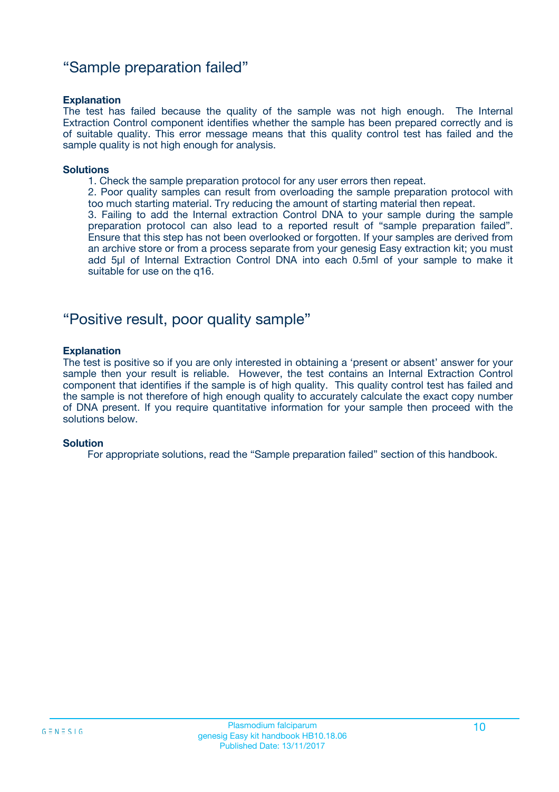## "Sample preparation failed"

### **Explanation**

The test has failed because the quality of the sample was not high enough. The Internal Extraction Control component identifies whether the sample has been prepared correctly and is of suitable quality. This error message means that this quality control test has failed and the sample quality is not high enough for analysis.

#### **Solutions**

1. Check the sample preparation protocol for any user errors then repeat.

2. Poor quality samples can result from overloading the sample preparation protocol with too much starting material. Try reducing the amount of starting material then repeat.

3. Failing to add the Internal extraction Control DNA to your sample during the sample preparation protocol can also lead to a reported result of "sample preparation failed". Ensure that this step has not been overlooked or forgotten. If your samples are derived from an archive store or from a process separate from your genesig Easy extraction kit; you must add 5µl of Internal Extraction Control DNA into each 0.5ml of your sample to make it suitable for use on the q16.

## "Positive result, poor quality sample"

### **Explanation**

The test is positive so if you are only interested in obtaining a 'present or absent' answer for your sample then your result is reliable. However, the test contains an Internal Extraction Control component that identifies if the sample is of high quality. This quality control test has failed and the sample is not therefore of high enough quality to accurately calculate the exact copy number of DNA present. If you require quantitative information for your sample then proceed with the solutions below.

### **Solution**

For appropriate solutions, read the "Sample preparation failed" section of this handbook.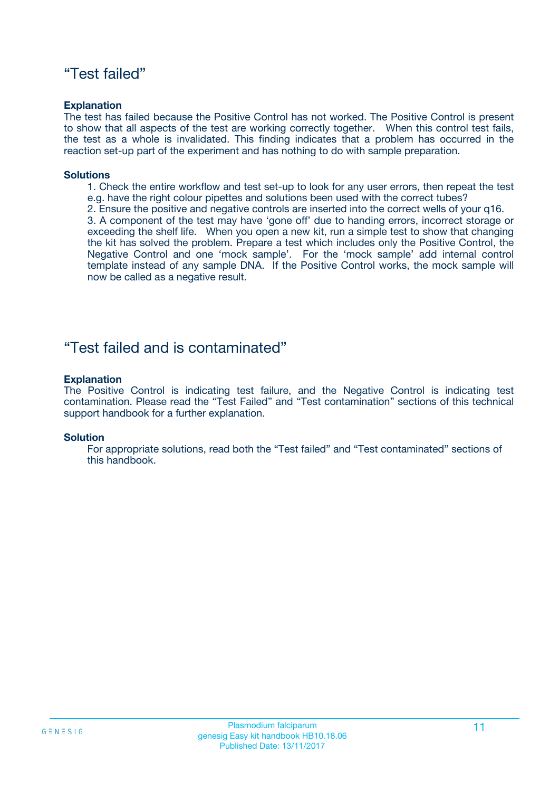## "Test failed"

### **Explanation**

The test has failed because the Positive Control has not worked. The Positive Control is present to show that all aspects of the test are working correctly together. When this control test fails, the test as a whole is invalidated. This finding indicates that a problem has occurred in the reaction set-up part of the experiment and has nothing to do with sample preparation.

### **Solutions**

- 1. Check the entire workflow and test set-up to look for any user errors, then repeat the test e.g. have the right colour pipettes and solutions been used with the correct tubes?
- 2. Ensure the positive and negative controls are inserted into the correct wells of your q16.

3. A component of the test may have 'gone off' due to handing errors, incorrect storage or exceeding the shelf life. When you open a new kit, run a simple test to show that changing the kit has solved the problem. Prepare a test which includes only the Positive Control, the Negative Control and one 'mock sample'. For the 'mock sample' add internal control template instead of any sample DNA. If the Positive Control works, the mock sample will now be called as a negative result.

## "Test failed and is contaminated"

### **Explanation**

The Positive Control is indicating test failure, and the Negative Control is indicating test contamination. Please read the "Test Failed" and "Test contamination" sections of this technical support handbook for a further explanation.

### **Solution**

For appropriate solutions, read both the "Test failed" and "Test contaminated" sections of this handbook.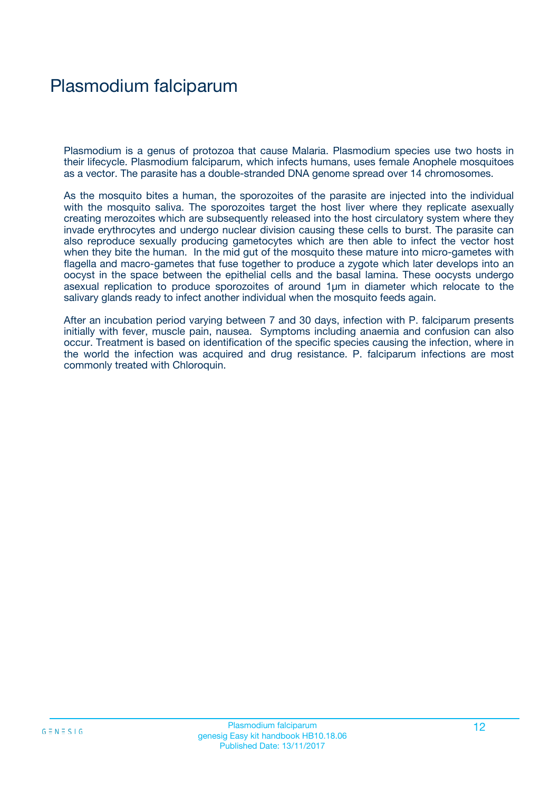## Plasmodium falciparum

Plasmodium is a genus of protozoa that cause Malaria. Plasmodium species use two hosts in their lifecycle. Plasmodium falciparum, which infects humans, uses female Anophele mosquitoes as a vector. The parasite has a double-stranded DNA genome spread over 14 chromosomes.

As the mosquito bites a human, the sporozoites of the parasite are injected into the individual with the mosquito saliva. The sporozoites target the host liver where they replicate asexually creating merozoites which are subsequently released into the host circulatory system where they invade erythrocytes and undergo nuclear division causing these cells to burst. The parasite can also reproduce sexually producing gametocytes which are then able to infect the vector host when they bite the human. In the mid gut of the mosquito these mature into micro-gametes with flagella and macro-gametes that fuse together to produce a zygote which later develops into an oocyst in the space between the epithelial cells and the basal lamina. These oocysts undergo asexual replication to produce sporozoites of around 1µm in diameter which relocate to the salivary glands ready to infect another individual when the mosquito feeds again.

After an incubation period varying between 7 and 30 days, infection with P. falciparum presents initially with fever, muscle pain, nausea. Symptoms including anaemia and confusion can also occur. Treatment is based on identification of the specific species causing the infection, where in the world the infection was acquired and drug resistance. P. falciparum infections are most commonly treated with Chloroquin.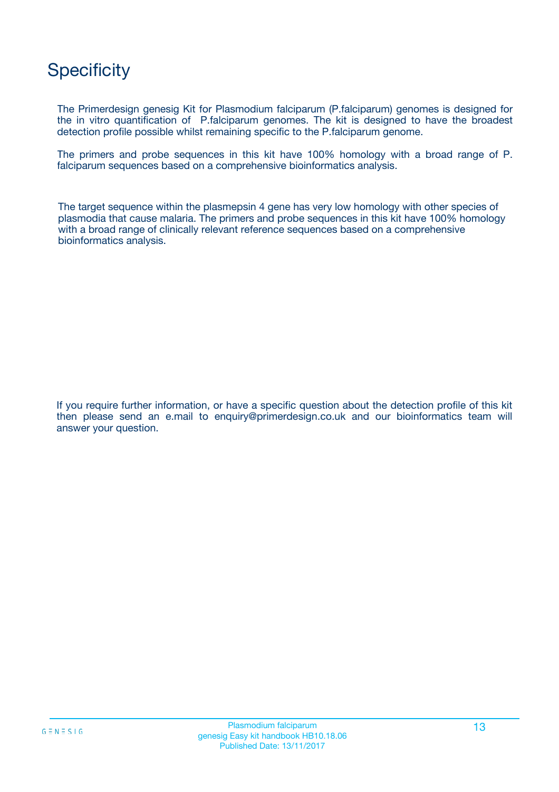## **Specificity**

The Primerdesign genesig Kit for Plasmodium falciparum (P.falciparum) genomes is designed for the in vitro quantification of P.falciparum genomes. The kit is designed to have the broadest detection profile possible whilst remaining specific to the P.falciparum genome.

The primers and probe sequences in this kit have 100% homology with a broad range of P. falciparum sequences based on a comprehensive bioinformatics analysis.

The target sequence within the plasmepsin 4 gene has very low homology with other species of plasmodia that cause malaria. The primers and probe sequences in this kit have 100% homology with a broad range of clinically relevant reference sequences based on a comprehensive bioinformatics analysis.

If you require further information, or have a specific question about the detection profile of this kit then please send an e.mail to enquiry@primerdesign.co.uk and our bioinformatics team will answer your question.